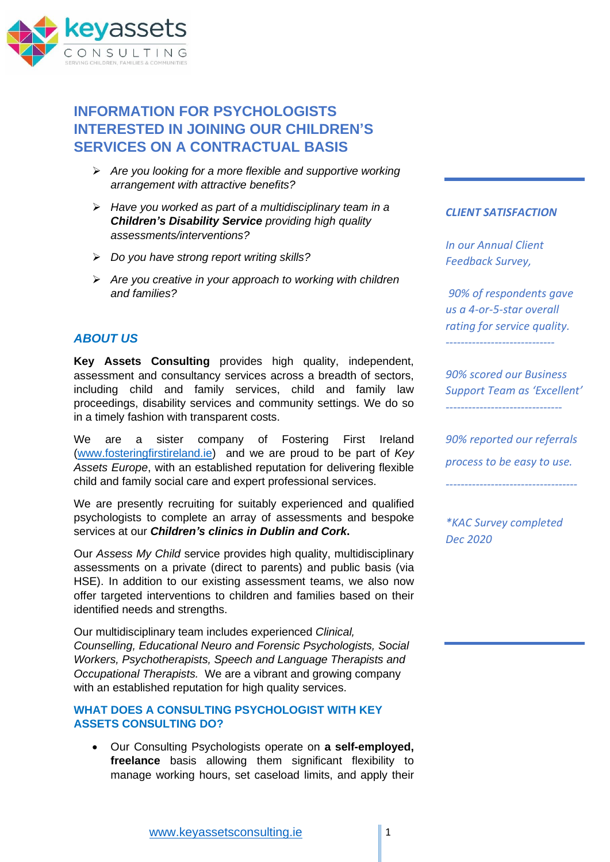

# **INFORMATION FOR PSYCHOLOGISTS INTERESTED IN JOINING OUR CHILDREN'S SERVICES ON A CONTRACTUAL BASIS**

- ➢ *Are you looking for a more flexible and supportive working arrangement with attractive benefits?*
- ➢ *Have you worked as part of a multidisciplinary team in a Children's Disability Service providing high quality assessments/interventions?*
- ➢ *Do you have strong report writing skills?*
- ➢ *Are you creative in your approach to working with children and families?*

## *ABOUT US*

**Key Assets Consulting** provides high quality, independent, assessment and consultancy services across a breadth of sectors, including child and family services, child and family law proceedings, disability services and community settings. We do so in a timely fashion with transparent costs.

We are a sister company of Fostering First Ireland [\(www.fosteringfirstireland.ie\)](http://www.fosteringfirstireland.ie/) and we are proud to be part of *Key Assets Europe*, with an established reputation for delivering flexible child and family social care and expert professional services.

We are presently recruiting for suitably experienced and qualified psychologists to complete an array of assessments and bespoke services at our *Children's clinics in Dublin and Cork***.**

Our *Assess My Child* service provides high quality, multidisciplinary assessments on a private (direct to parents) and public basis (via HSE). In addition to our existing assessment teams, we also now offer targeted interventions to children and families based on their identified needs and strengths.

Our multidisciplinary team includes experienced *Clinical, Counselling, Educational Neuro and Forensic Psychologists, Social Workers, Psychotherapists, Speech and Language Therapists and Occupational Therapists.* We are a vibrant and growing company with an established reputation for high quality services.

## **WHAT DOES A CONSULTING PSYCHOLOGIST WITH KEY ASSETS CONSULTING DO?**

• Our Consulting Psychologists operate on **a self-employed, freelance** basis allowing them significant flexibility to manage working hours, set caseload limits, and apply their

## *CLIENT SATISFACTION*

*In our Annual Client Feedback Survey,*

*90% of respondents gave us a 4-or-5-star overall rating for service quality. -----------------------------*

*90% scored our Business Support Team as 'Excellent' -------------------------------*

*90% reported our referrals process to be easy to use.*

*-----------------------------------*

*\*KAC Survey completed Dec 2020*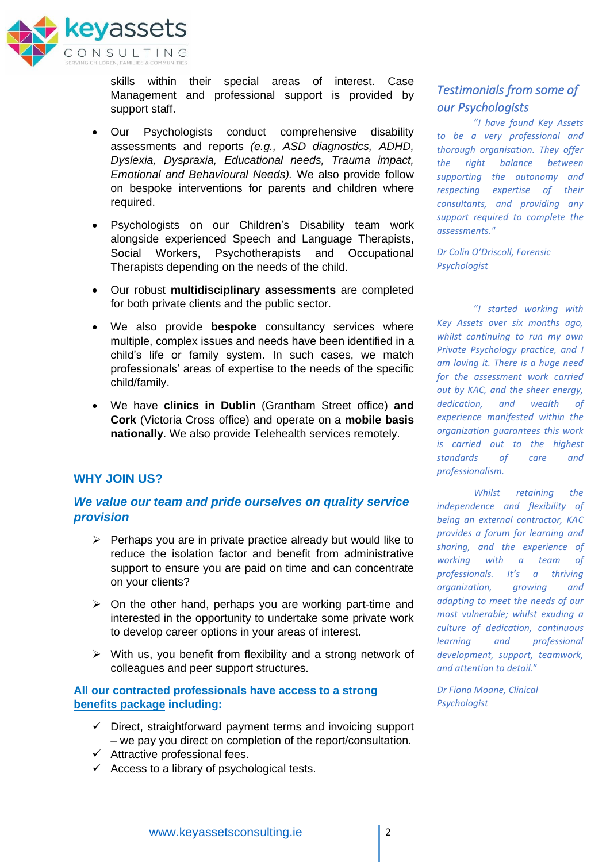

skills within their special areas of interest. Case Management and professional support is provided by support staff.

- Our Psychologists conduct comprehensive disability assessments and reports *(e.g., ASD diagnostics, ADHD, Dyslexia, Dyspraxia, Educational needs, Trauma impact, Emotional and Behavioural Needs).* We also provide follow on bespoke interventions for parents and children where required.
- Psychologists on our Children's Disability team work alongside experienced Speech and Language Therapists, Social Workers, Psychotherapists and Occupational Therapists depending on the needs of the child.
- Our robust **multidisciplinary assessments** are completed for both private clients and the public sector.
- We also provide **bespoke** consultancy services where multiple, complex issues and needs have been identified in a child's life or family system. In such cases, we match professionals' areas of expertise to the needs of the specific child/family.
- We have **clinics in Dublin** (Grantham Street office) **and Cork** (Victoria Cross office) and operate on a **mobile basis nationally**. We also provide Telehealth services remotely.

## **WHY JOIN US?**

## *We value our team and pride ourselves on quality service provision*

- $\triangleright$  Perhaps you are in private practice already but would like to reduce the isolation factor and benefit from administrative support to ensure you are paid on time and can concentrate on your clients?
- ➢ On the other hand, perhaps you are working part-time and interested in the opportunity to undertake some private work to develop career options in your areas of interest.
- ➢ With us, you benefit from flexibility and a strong network of colleagues and peer support structures.

## **All our contracted professionals have access to a strong benefits package including:**

- $\checkmark$  Direct, straightforward payment terms and invoicing support – we pay you direct on completion of the report/consultation.
- $\checkmark$  Attractive professional fees.
- $\checkmark$  Access to a library of psychological tests.

## *Testimonials from some of our Psychologists*

"*I have found Key Assets to be a very professional and thorough organisation. They offer the right balance between supporting the autonomy and respecting expertise of their consultants, and providing any support required to complete the assessments."*

*Dr Colin O'Driscoll, Forensic Psychologist*

"*I started working with Key Assets over six months ago, whilst continuing to run my own Private Psychology practice, and I am loving it. There is a huge need for the assessment work carried out by KAC, and the sheer energy, dedication, and wealth of experience manifested within the organization guarantees this work is carried out to the highest standards of care and professionalism.*

*Whilst retaining the independence and flexibility of being an external contractor, KAC provides a forum for learning and sharing, and the experience of working with a team of professionals. It's a thriving organization, growing and adapting to meet the needs of our most vulnerable; whilst exuding a culture of dedication, continuous learning and professional development, support, teamwork, and attention to detail*."

*Dr Fiona Moane, Clinical Psychologist*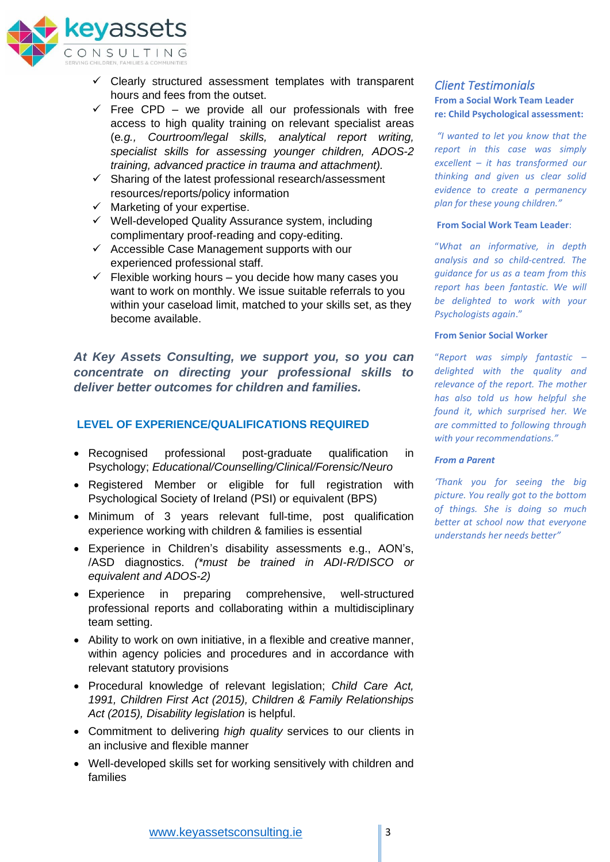

- $\checkmark$  Clearly structured assessment templates with transparent hours and fees from the outset.
- $\checkmark$  Free CPD we provide all our professionals with free access to high quality training on relevant specialist areas (e*.g., Courtroom/legal skills, analytical report writing, specialist skills for assessing younger children, ADOS-2 training, advanced practice in trauma and attachment).*
- $\checkmark$  Sharing of the latest professional research/assessment resources/reports/policy information
- $\checkmark$  Marketing of your expertise.
- ✓ Well-developed Quality Assurance system, including complimentary proof-reading and copy-editing.
- $\checkmark$  Accessible Case Management supports with our experienced professional staff.
- $\checkmark$  Flexible working hours you decide how many cases you want to work on monthly. We issue suitable referrals to you within your caseload limit, matched to your skills set, as they become available.

*At Key Assets Consulting, we support you, so you can concentrate on directing your professional skills to deliver better outcomes for children and families.* 

## **LEVEL OF EXPERIENCE/QUALIFICATIONS REQUIRED**

- Recognised professional post-graduate qualification in Psychology; *Educational/Counselling/Clinical/Forensic/Neuro*
- Registered Member or eligible for full registration with Psychological Society of Ireland (PSI) or equivalent (BPS)
- Minimum of 3 years relevant full-time, post qualification experience working with children & families is essential
- Experience in Children's disability assessments e.g., AON's, /ASD diagnostics. *(\*must be trained in ADI-R/DISCO or equivalent and ADOS-2)*
- Experience in preparing comprehensive, well-structured professional reports and collaborating within a multidisciplinary team setting.
- Ability to work on own initiative, in a flexible and creative manner, within agency policies and procedures and in accordance with relevant statutory provisions
- Procedural knowledge of relevant legislation; *Child Care Act, 1991, Children First Act (2015), Children & Family Relationships Act (2015), Disability legislation* is helpful.
- Commitment to delivering *high quality* services to our clients in an inclusive and flexible manner
- Well-developed skills set for working sensitively with children and families

## *Client Testimonials*  **From a Social Work Team Leader re: Child Psychological assessment:**

*"I wanted to let you know that the report in this case was simply excellent – it has transformed our thinking and given us clear solid evidence to create a permanency plan for these young children."*

### **From Social Work Team Leader**:

"*What an informative, in depth analysis and so child-centred. The guidance for us as a team from this report has been fantastic. We will be delighted to work with your Psychologists again*."

### **From Senior Social Worker**

"*Report was simply fantastic – delighted with the quality and relevance of the report. The mother has also told us how helpful she found it, which surprised her. We are committed to following through with your recommendations."*

### *From a Parent*

*'Thank you for seeing the big picture. You really got to the bottom of things. She is doing so much better at school now that everyone understands her needs better"*